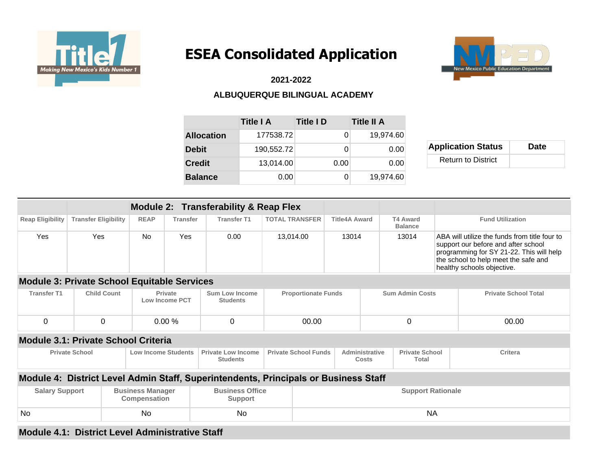



 **2021-2022** 

#### **ALBUQUERQUE BILINGUAL ACADEMY**

|                   | Title I A  | <b>Title I D</b> | Title II A |
|-------------------|------------|------------------|------------|
| <b>Allocation</b> | 177538.72  | 0                | 19,974.60  |
| <b>Debit</b>      | 190,552.72 |                  | 0.00       |
| <b>Credit</b>     | 13,014.00  | 0.00             | 0.00       |
| <b>Balance</b>    | 0.00       |                  | 19,974.60  |

| <b>Application Status</b> | <b>Date</b> |
|---------------------------|-------------|
| <b>Return to District</b> |             |

|                         |                                                                                                    |                                         |                            | <b>Module 2: Transferability &amp; Reap Flex</b>                                    |                        |                                                                                                 |                      |                             |                                   |  |                                                                                                                                                                                                        |
|-------------------------|----------------------------------------------------------------------------------------------------|-----------------------------------------|----------------------------|-------------------------------------------------------------------------------------|------------------------|-------------------------------------------------------------------------------------------------|----------------------|-----------------------------|-----------------------------------|--|--------------------------------------------------------------------------------------------------------------------------------------------------------------------------------------------------------|
| <b>Reap Eligibility</b> | <b>Transfer Eligibility</b>                                                                        | <b>REAP</b>                             | <b>Transfer</b>            | <b>Transfer T1</b>                                                                  | <b>TOTAL TRANSFER</b>  |                                                                                                 | <b>Title4A Award</b> |                             | <b>T4 Award</b><br><b>Balance</b> |  | <b>Fund Utilization</b>                                                                                                                                                                                |
| Yes                     | Yes                                                                                                | <b>No</b>                               | Yes                        | 0.00                                                                                | 13,014.00              |                                                                                                 | 13014                |                             | 13014                             |  | ABA will utilize the funds from title four to<br>support our before and after school<br>programming for SY 21-22. This will help<br>the school to help meet the safe and<br>healthy schools objective. |
|                         | <b>Module 3: Private School Equitable Services</b>                                                 |                                         |                            |                                                                                     |                        |                                                                                                 |                      |                             |                                   |  |                                                                                                                                                                                                        |
| <b>Transfer T1</b>      | <b>Sum Low Income</b><br><b>Child Count</b><br>Private<br><b>Low Income PCT</b><br><b>Students</b> |                                         | <b>Proportionate Funds</b> |                                                                                     | <b>Sum Admin Costs</b> |                                                                                                 |                      | <b>Private School Total</b> |                                   |  |                                                                                                                                                                                                        |
| $\Omega$                | $\mathbf{0}$                                                                                       |                                         | 0.00%                      | $\mathbf 0$                                                                         | 00.00                  |                                                                                                 |                      | 0                           |                                   |  | 00.00                                                                                                                                                                                                  |
|                         | <b>Module 3.1: Private School Criteria</b>                                                         |                                         |                            |                                                                                     |                        |                                                                                                 |                      |                             |                                   |  |                                                                                                                                                                                                        |
|                         | <b>Private School</b>                                                                              | <b>Low Income Students</b>              |                            | <b>Private Low Income</b><br><b>Students</b>                                        |                        | <b>Private School Funds</b><br>Administrative<br><b>Private School</b><br><b>Total</b><br>Costs |                      |                             | Critera                           |  |                                                                                                                                                                                                        |
|                         |                                                                                                    |                                         |                            | Module 4: District Level Admin Staff, Superintendents, Principals or Business Staff |                        |                                                                                                 |                      |                             |                                   |  |                                                                                                                                                                                                        |
| <b>Salary Support</b>   |                                                                                                    | <b>Business Manager</b><br>Compensation |                            | <b>Business Office</b><br><b>Support</b>                                            |                        | <b>Support Rationale</b>                                                                        |                      |                             |                                   |  |                                                                                                                                                                                                        |
| No                      |                                                                                                    | <b>No</b>                               |                            | No                                                                                  |                        | <b>NA</b>                                                                                       |                      |                             |                                   |  |                                                                                                                                                                                                        |

#### **Module 4.1: District Level Administrative Staff**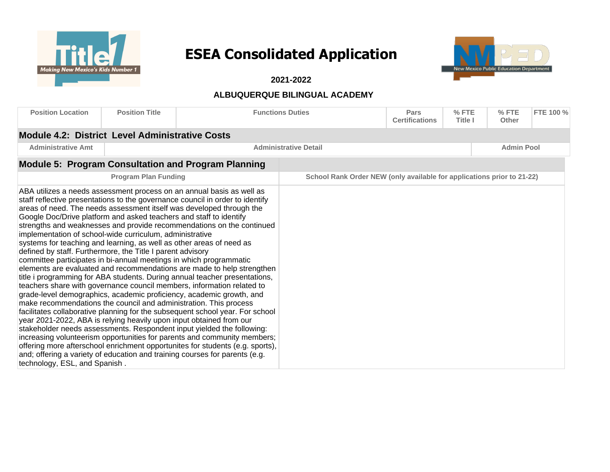



 **2021-2022** 

| <b>Position Location</b>                                                                                                                                                                                                                                                                                                                                                                                                                                                                                                | <b>Position Title</b>       |                                                                                                                                                                                                                                                                                                                                                                                                                                                                                                                                                                                                                                                                                                                                                                                                                                                                                                                                                                                                                          | <b>Functions Duties</b>                                                | Pars<br><b>Certifications</b> | %FTE<br>Title I | $%$ FTE<br><b>Other</b> | FTE 100 % |
|-------------------------------------------------------------------------------------------------------------------------------------------------------------------------------------------------------------------------------------------------------------------------------------------------------------------------------------------------------------------------------------------------------------------------------------------------------------------------------------------------------------------------|-----------------------------|--------------------------------------------------------------------------------------------------------------------------------------------------------------------------------------------------------------------------------------------------------------------------------------------------------------------------------------------------------------------------------------------------------------------------------------------------------------------------------------------------------------------------------------------------------------------------------------------------------------------------------------------------------------------------------------------------------------------------------------------------------------------------------------------------------------------------------------------------------------------------------------------------------------------------------------------------------------------------------------------------------------------------|------------------------------------------------------------------------|-------------------------------|-----------------|-------------------------|-----------|
| Module 4.2: District Level Administrative Costs                                                                                                                                                                                                                                                                                                                                                                                                                                                                         |                             |                                                                                                                                                                                                                                                                                                                                                                                                                                                                                                                                                                                                                                                                                                                                                                                                                                                                                                                                                                                                                          |                                                                        |                               |                 |                         |           |
| <b>Administrative Amt</b>                                                                                                                                                                                                                                                                                                                                                                                                                                                                                               |                             |                                                                                                                                                                                                                                                                                                                                                                                                                                                                                                                                                                                                                                                                                                                                                                                                                                                                                                                                                                                                                          | <b>Administrative Detail</b>                                           |                               |                 | <b>Admin Pool</b>       |           |
|                                                                                                                                                                                                                                                                                                                                                                                                                                                                                                                         |                             | <b>Module 5: Program Consultation and Program Planning</b>                                                                                                                                                                                                                                                                                                                                                                                                                                                                                                                                                                                                                                                                                                                                                                                                                                                                                                                                                               |                                                                        |                               |                 |                         |           |
|                                                                                                                                                                                                                                                                                                                                                                                                                                                                                                                         | <b>Program Plan Funding</b> |                                                                                                                                                                                                                                                                                                                                                                                                                                                                                                                                                                                                                                                                                                                                                                                                                                                                                                                                                                                                                          | School Rank Order NEW (only available for applications prior to 21-22) |                               |                 |                         |           |
| Google Doc/Drive platform and asked teachers and staff to identify<br>implementation of school-wide curriculum, administrative<br>systems for teaching and learning, as well as other areas of need as<br>defined by staff. Furthermore, the Title I parent advisory<br>committee participates in bi-annual meetings in which programmatic<br>make recommendations the council and administration. This process<br>year 2021-2022, ABA is relying heavily upon input obtained from our<br>technology, ESL, and Spanish. |                             | ABA utilizes a needs assessment process on an annual basis as well as<br>staff reflective presentations to the governance council in order to identify<br>areas of need. The needs assessment itself was developed through the<br>strengths and weaknesses and provide recommendations on the continued<br>elements are evaluated and recommendations are made to help strengthen<br>title i programming for ABA students. During annual teacher presentations,<br>teachers share with governance council members, information related to<br>grade-level demographics, academic proficiency, academic growth, and<br>facilitates collaborative planning for the subsequent school year. For school<br>stakeholder needs assessments. Respondent input yielded the following:<br>increasing volunteerism opportunities for parents and community members;<br>offering more afterschool enrichment opportunites for students (e.g. sports),<br>and; offering a variety of education and training courses for parents (e.g. |                                                                        |                               |                 |                         |           |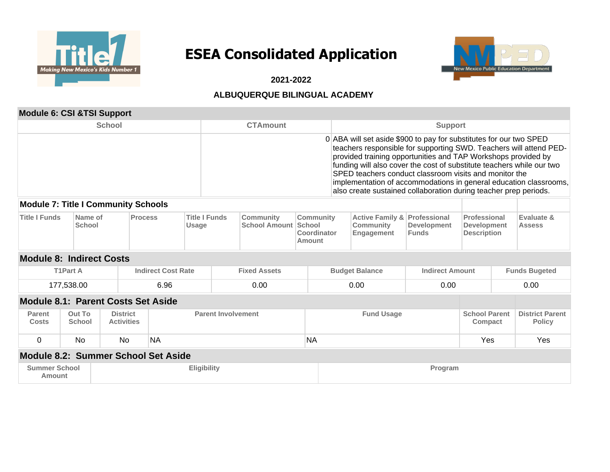



 **2021-2022** 

#### **ALBUQUERQUE BILINGUAL ACADEMY**

#### **Module 6: CSI &TSI Support**

| <b>School</b> | <b>CTAmount</b> | Support                                                                                                                                                                                                                                                                                                                                                                                                                                                                               |
|---------------|-----------------|---------------------------------------------------------------------------------------------------------------------------------------------------------------------------------------------------------------------------------------------------------------------------------------------------------------------------------------------------------------------------------------------------------------------------------------------------------------------------------------|
|               |                 | 0 ABA will set aside \$900 to pay for substitutes for our two SPED<br>teachers responsible for supporting SWD. Teachers will attend PED-<br>provided training opportunities and TAP Workshops provided by<br>funding will also cover the cost of substitute teachers while our two<br>SPED teachers conduct classroom visits and monitor the<br>implementation of accommodations in general education classrooms,<br>also create sustained collaboration during teacher prep periods. |

#### **Module 7: Title I Community Schools**

| <b>Title I Funds</b> | Name of<br>School | <b>Process</b> | <b>Title I Funds</b><br><b>Usage</b> | <b>Community</b><br>School Amount School | <b>Community</b><br><b>Coordinator</b><br>Amount | <b>Active Family &amp; Professional</b><br><b>Community</b><br>Engagement | Development<br>Funds | Professional<br>Development<br><b>Description</b> | Evaluate &<br><b>Assess</b> |
|----------------------|-------------------|----------------|--------------------------------------|------------------------------------------|--------------------------------------------------|---------------------------------------------------------------------------|----------------------|---------------------------------------------------|-----------------------------|

### **Module 8: Indirect Costs**

| T1Part  | <b>Indirect Cost Rate</b> | <b>Fivad Accate</b> | <b>Budget Balance</b> | <b>Indirect Amount</b> | ್ನ Bugetea<br>≂unds . |
|---------|---------------------------|---------------------|-----------------------|------------------------|-----------------------|
| .538.00 | 6.96                      | 0.00                | 0.00                  | 0.00                   | 0.00                  |

#### **Module 8.1: Parent Costs Set Aside**

| <b>Parent</b><br><b>Costs</b> | Out To<br><b>School</b> | <b>District</b><br><b>Activities</b> | <b>Parent Involvement</b> | <b>Fund Usage</b> | <b>School Parent</b><br><b>Compact</b> | <b>District Parent</b><br><b>Policy</b> |
|-------------------------------|-------------------------|--------------------------------------|---------------------------|-------------------|----------------------------------------|-----------------------------------------|
|                               | No                      | No                                   | <b>NA</b>                 | <b>NA</b>         | Yes                                    | Yes                                     |

#### **Module 8.2: Summer School Set Aside**

| Summer !<br>' School | $-1$<br>Eliaibility | <b>rogram</b> |
|----------------------|---------------------|---------------|
| Amount               |                     |               |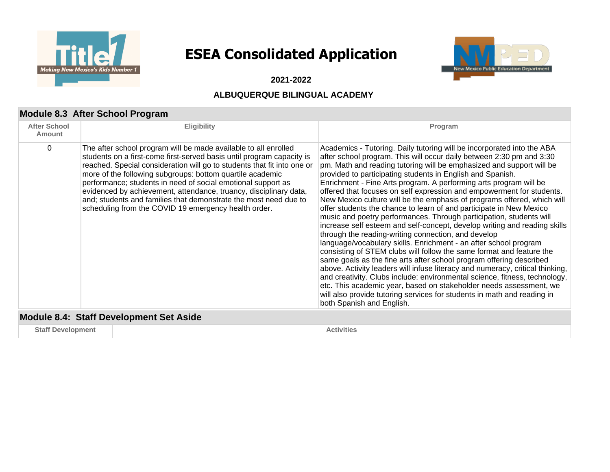



 **2021-2022** 

### **ALBUQUERQUE BILINGUAL ACADEMY**

### **Module 8.3 After School Program**

| <b>After School</b><br>Amount | <b>Eligibility</b>                                                                                                                                                                                                                                                                                                                                                                                                                                                                                                                                | Program                                                                                                                                                                                                                                                                                                                                                                                                                                                                                                                                                                                                                                                                                                                                                                                                                                                                                                                                                                                                                                                                                                                                                                                                                                                                                                                                                         |
|-------------------------------|---------------------------------------------------------------------------------------------------------------------------------------------------------------------------------------------------------------------------------------------------------------------------------------------------------------------------------------------------------------------------------------------------------------------------------------------------------------------------------------------------------------------------------------------------|-----------------------------------------------------------------------------------------------------------------------------------------------------------------------------------------------------------------------------------------------------------------------------------------------------------------------------------------------------------------------------------------------------------------------------------------------------------------------------------------------------------------------------------------------------------------------------------------------------------------------------------------------------------------------------------------------------------------------------------------------------------------------------------------------------------------------------------------------------------------------------------------------------------------------------------------------------------------------------------------------------------------------------------------------------------------------------------------------------------------------------------------------------------------------------------------------------------------------------------------------------------------------------------------------------------------------------------------------------------------|
| 0                             | The after school program will be made available to all enrolled<br>students on a first-come first-served basis until program capacity is<br>reached. Special consideration will go to students that fit into one or<br>more of the following subgroups: bottom quartile academic<br>performance; students in need of social emotional support as<br>evidenced by achievement, attendance, truancy, disciplinary data,<br>and; students and families that demonstrate the most need due to<br>scheduling from the COVID 19 emergency health order. | Academics - Tutoring. Daily tutoring will be incorporated into the ABA<br>after school program. This will occur daily between 2:30 pm and 3:30<br>pm. Math and reading tutoring will be emphasized and support will be<br>provided to participating students in English and Spanish.<br>Enrichment - Fine Arts program. A performing arts program will be<br>offered that focuses on self expression and empowerment for students.<br>New Mexico culture will be the emphasis of programs offered, which will<br>offer students the chance to learn of and participate in New Mexico<br>music and poetry performances. Through participation, students will<br>increase self esteem and self-concept, develop writing and reading skills<br>through the reading-writing connection, and develop<br>language/vocabulary skills. Enrichment - an after school program<br>consisting of STEM clubs will follow the same format and feature the<br>same goals as the fine arts after school program offering described<br>above. Activity leaders will infuse literacy and numeracy, critical thinking,<br>and creativity. Clubs include: environmental science, fitness, technology,<br>etc. This academic year, based on stakeholder needs assessment, we<br>will also provide tutoring services for students in math and reading in<br>both Spanish and English. |
|                               | <b>Module 8.4: Staff Development Set Aside</b>                                                                                                                                                                                                                                                                                                                                                                                                                                                                                                    |                                                                                                                                                                                                                                                                                                                                                                                                                                                                                                                                                                                                                                                                                                                                                                                                                                                                                                                                                                                                                                                                                                                                                                                                                                                                                                                                                                 |
| <b>Staff Development</b>      |                                                                                                                                                                                                                                                                                                                                                                                                                                                                                                                                                   | <b>Activities</b>                                                                                                                                                                                                                                                                                                                                                                                                                                                                                                                                                                                                                                                                                                                                                                                                                                                                                                                                                                                                                                                                                                                                                                                                                                                                                                                                               |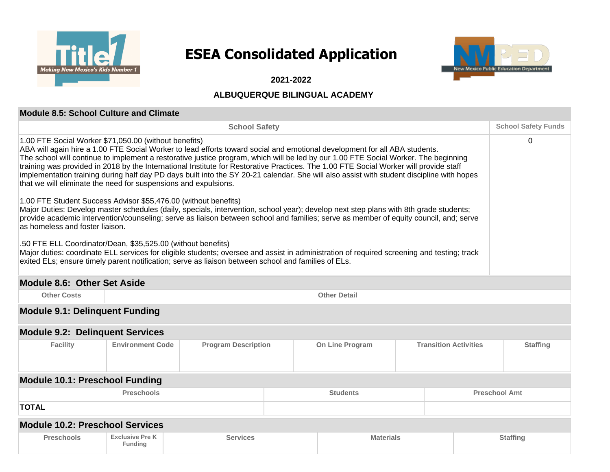



 **2021-2022** 

| <b>Module 8.5: School Culture and Climate</b>                                                      |                                                                                                                                                                                                                                                                                                                                                                                                                                                                                                                                                                                                                                                                                                 |                                                                                                                                                                                                                                                                                |  |                     |                              |  |                            |  |  |  |
|----------------------------------------------------------------------------------------------------|-------------------------------------------------------------------------------------------------------------------------------------------------------------------------------------------------------------------------------------------------------------------------------------------------------------------------------------------------------------------------------------------------------------------------------------------------------------------------------------------------------------------------------------------------------------------------------------------------------------------------------------------------------------------------------------------------|--------------------------------------------------------------------------------------------------------------------------------------------------------------------------------------------------------------------------------------------------------------------------------|--|---------------------|------------------------------|--|----------------------------|--|--|--|
|                                                                                                    |                                                                                                                                                                                                                                                                                                                                                                                                                                                                                                                                                                                                                                                                                                 | <b>School Safety</b>                                                                                                                                                                                                                                                           |  |                     |                              |  | <b>School Safety Funds</b> |  |  |  |
|                                                                                                    | 1.00 FTE Social Worker \$71,050.00 (without benefits)<br>$\Omega$<br>ABA will again hire a 1.00 FTE Social Worker to lead efforts toward social and emotional development for all ABA students.<br>The school will continue to implement a restorative justice program, which will be led by our 1.00 FTE Social Worker. The beginning<br>training was provided in 2018 by the International Institute for Restorative Practices. The 1.00 FTE Social Worker will provide staff<br>implementation training during half day PD days built into the SY 20-21 calendar. She will also assist with student discipline with hopes<br>that we will eliminate the need for suspensions and expulsions. |                                                                                                                                                                                                                                                                                |  |                     |                              |  |                            |  |  |  |
| 1.00 FTE Student Success Advisor \$55,476.00 (without benefits)<br>as homeless and foster liaison. |                                                                                                                                                                                                                                                                                                                                                                                                                                                                                                                                                                                                                                                                                                 | Major Duties: Develop master schedules (daily, specials, intervention, school year); develop next step plans with 8th grade students;<br>provide academic intervention/counseling; serve as liaison between school and families; serve as member of equity council, and; serve |  |                     |                              |  |                            |  |  |  |
|                                                                                                    | .50 FTE ELL Coordinator/Dean, \$35,525.00 (without benefits)<br>Major duties: coordinate ELL services for eligible students; oversee and assist in administration of required screening and testing; track<br>exited ELs; ensure timely parent notification; serve as liaison between school and families of ELs.                                                                                                                                                                                                                                                                                                                                                                               |                                                                                                                                                                                                                                                                                |  |                     |                              |  |                            |  |  |  |
| Module 8.6: Other Set Aside                                                                        |                                                                                                                                                                                                                                                                                                                                                                                                                                                                                                                                                                                                                                                                                                 |                                                                                                                                                                                                                                                                                |  |                     |                              |  |                            |  |  |  |
| <b>Other Costs</b>                                                                                 |                                                                                                                                                                                                                                                                                                                                                                                                                                                                                                                                                                                                                                                                                                 |                                                                                                                                                                                                                                                                                |  | <b>Other Detail</b> |                              |  |                            |  |  |  |
| <b>Module 9.1: Delinquent Funding</b>                                                              |                                                                                                                                                                                                                                                                                                                                                                                                                                                                                                                                                                                                                                                                                                 |                                                                                                                                                                                                                                                                                |  |                     |                              |  |                            |  |  |  |
| <b>Module 9.2: Delinquent Services</b>                                                             |                                                                                                                                                                                                                                                                                                                                                                                                                                                                                                                                                                                                                                                                                                 |                                                                                                                                                                                                                                                                                |  |                     |                              |  |                            |  |  |  |
| <b>Facility</b>                                                                                    | <b>Environment Code</b>                                                                                                                                                                                                                                                                                                                                                                                                                                                                                                                                                                                                                                                                         | <b>Program Description</b>                                                                                                                                                                                                                                                     |  | On Line Program     | <b>Transition Activities</b> |  | <b>Staffing</b>            |  |  |  |
| <b>Module 10.1: Preschool Funding</b>                                                              |                                                                                                                                                                                                                                                                                                                                                                                                                                                                                                                                                                                                                                                                                                 |                                                                                                                                                                                                                                                                                |  |                     |                              |  |                            |  |  |  |
|                                                                                                    | <b>Preschools</b><br><b>Preschool Amt</b><br><b>Students</b>                                                                                                                                                                                                                                                                                                                                                                                                                                                                                                                                                                                                                                    |                                                                                                                                                                                                                                                                                |  |                     |                              |  |                            |  |  |  |
| <b>TOTAL</b>                                                                                       |                                                                                                                                                                                                                                                                                                                                                                                                                                                                                                                                                                                                                                                                                                 |                                                                                                                                                                                                                                                                                |  |                     |                              |  |                            |  |  |  |
| <b>Module 10.2: Preschool Services</b>                                                             |                                                                                                                                                                                                                                                                                                                                                                                                                                                                                                                                                                                                                                                                                                 |                                                                                                                                                                                                                                                                                |  |                     |                              |  |                            |  |  |  |
| <b>Preschools</b>                                                                                  | <b>Exclusive Pre K</b><br><b>Funding</b>                                                                                                                                                                                                                                                                                                                                                                                                                                                                                                                                                                                                                                                        | <b>Services</b>                                                                                                                                                                                                                                                                |  | <b>Materials</b>    |                              |  | <b>Staffing</b>            |  |  |  |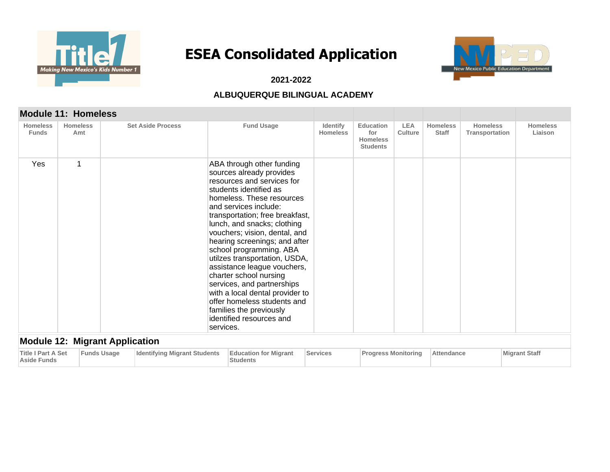



 **2021-2022** 

|                                                 | <b>Module 11: Homeless</b>            |                    |                                     |           |                                                                                                                                                                                                                                                                                                                                                                                                                                                                                                                                                                                     |                                    |                                                               |                              |                                 |                                   |                            |
|-------------------------------------------------|---------------------------------------|--------------------|-------------------------------------|-----------|-------------------------------------------------------------------------------------------------------------------------------------------------------------------------------------------------------------------------------------------------------------------------------------------------------------------------------------------------------------------------------------------------------------------------------------------------------------------------------------------------------------------------------------------------------------------------------------|------------------------------------|---------------------------------------------------------------|------------------------------|---------------------------------|-----------------------------------|----------------------------|
| <b>Homeless</b><br><b>Funds</b>                 | <b>Homeless</b><br>Amt                |                    | <b>Set Aside Process</b>            |           | <b>Fund Usage</b>                                                                                                                                                                                                                                                                                                                                                                                                                                                                                                                                                                   | <b>Identify</b><br><b>Homeless</b> | <b>Education</b><br>for<br><b>Homeless</b><br><b>Students</b> | <b>LEA</b><br><b>Culture</b> | <b>Homeless</b><br><b>Staff</b> | <b>Homeless</b><br>Transportation | <b>Homeless</b><br>Liaison |
| Yes                                             | 1                                     |                    |                                     | services. | ABA through other funding<br>sources already provides<br>resources and services for<br>students identified as<br>homeless. These resources<br>and services include:<br>transportation; free breakfast,<br>lunch, and snacks; clothing<br>vouchers; vision, dental, and<br>hearing screenings; and after<br>school programming. ABA<br>utilzes transportation, USDA,<br>assistance league vouchers,<br>charter school nursing<br>services, and partnerships<br>with a local dental provider to<br>offer homeless students and<br>families the previously<br>identified resources and |                                    |                                                               |                              |                                 |                                   |                            |
|                                                 | <b>Module 12: Migrant Application</b> |                    |                                     |           |                                                                                                                                                                                                                                                                                                                                                                                                                                                                                                                                                                                     |                                    |                                                               |                              |                                 |                                   |                            |
| <b>Title I Part A Set</b><br><b>Aside Funds</b> |                                       | <b>Funds Usage</b> | <b>Identifying Migrant Students</b> |           | <b>Education for Migrant</b><br><b>Students</b>                                                                                                                                                                                                                                                                                                                                                                                                                                                                                                                                     | <b>Services</b>                    | <b>Progress Monitoring</b>                                    |                              | <b>Attendance</b>               |                                   | <b>Migrant Staff</b>       |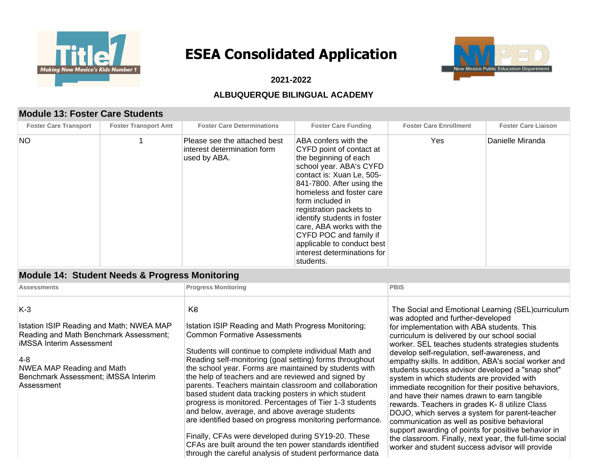



 **2021-2022** 

### **ALBUQUERQUE BILINGUAL ACADEMY**

### **Module 13: Foster Care Students**

| <b>Foster Care Transport</b> | <b>Foster Transport Amt</b> | <b>Foster Care Determinations</b>                                           | <b>Foster Care Funding</b>                                                                                                                                                                                                                                                                                                                                                                               | <b>Foster Care Liaison</b> |                  |  |  |  |
|------------------------------|-----------------------------|-----------------------------------------------------------------------------|----------------------------------------------------------------------------------------------------------------------------------------------------------------------------------------------------------------------------------------------------------------------------------------------------------------------------------------------------------------------------------------------------------|----------------------------|------------------|--|--|--|
| <b>NO</b>                    |                             | Please see the attached best<br>interest determination form<br>used by ABA. | ABA confers with the<br>CYFD point of contact at<br>the beginning of each<br>school year. ABA's CYFD<br>contact is: Xuan Le, 505-<br>841-7800. After using the<br>homeless and foster care<br>form included in<br>registration packets to<br>identify students in foster<br>care, ABA works with the<br>CYFD POC and family if<br>applicable to conduct best<br>interest determinations for<br>students. | Yes                        | Danielle Miranda |  |  |  |
|                              |                             |                                                                             |                                                                                                                                                                                                                                                                                                                                                                                                          |                            |                  |  |  |  |

#### **Module 14: Student Needs & Progress Monitoring**

| <b>Assessments</b>                                                                                                                                                                                                               | <b>Progress Monitoring</b>                                                                                                                                                                                                                                                                                                                                                                                                                                                                                                                                                                                                                                                                                                                                                                                      | <b>PBIS</b>                                                                                                                                                                                                                                                                                                                                                                                                                                                                                                                                                                                                                                                                                                                                                                                                                                                                      |
|----------------------------------------------------------------------------------------------------------------------------------------------------------------------------------------------------------------------------------|-----------------------------------------------------------------------------------------------------------------------------------------------------------------------------------------------------------------------------------------------------------------------------------------------------------------------------------------------------------------------------------------------------------------------------------------------------------------------------------------------------------------------------------------------------------------------------------------------------------------------------------------------------------------------------------------------------------------------------------------------------------------------------------------------------------------|----------------------------------------------------------------------------------------------------------------------------------------------------------------------------------------------------------------------------------------------------------------------------------------------------------------------------------------------------------------------------------------------------------------------------------------------------------------------------------------------------------------------------------------------------------------------------------------------------------------------------------------------------------------------------------------------------------------------------------------------------------------------------------------------------------------------------------------------------------------------------------|
| $K-3$<br>Istation ISIP Reading and Math; NWEA MAP<br>Reading and Math Benchmark Assessment;<br><b>iMSSA Interim Assessment</b><br>$4-8$<br><b>NWEA MAP Reading and Math</b><br>Benchmark Assessment; iMSSA Interim<br>Assessment | K8<br>Istation ISIP Reading and Math Progress Monitoring;<br><b>Common Formative Assessments</b><br>Students will continue to complete individual Math and<br>Reading self-monitoring (goal setting) forms throughout<br>the school year. Forms are maintained by students with<br>the help of teachers and are reviewed and signed by<br>parents. Teachers maintain classroom and collaboration<br>based student data tracking posters in which student<br>progress is monitored. Percentages of Tier 1-3 students<br>and below, average, and above average students<br>are identified based on progress monitoring performance.<br>Finally, CFAs were developed during SY19-20. These<br>CFAs are built around the ten power standards identified<br>through the careful analysis of student performance data | The Social and Emotional Learning (SEL)curriculum<br>was adopted and further-developed<br>for implementation with ABA students. This<br>curriculum is delivered by our school social<br>worker. SEL teaches students strategies students<br>develop self-regulation, self-awareness, and<br>empathy skills. In addition, ABA's social worker and<br>students success advisor developed a "snap shot"<br>system in which students are provided with<br>immediate recognition for their positive behaviors,<br>and have their names drawn to earn tangible<br>rewards. Teachers in grades K-8 utilize Class<br>DOJO, which serves a system for parent-teacher<br>communication as well as positive behavioral<br>support awarding of points for positive behavior in<br>the classroom. Finally, next year, the full-time social<br>worker and student success advisor will provide |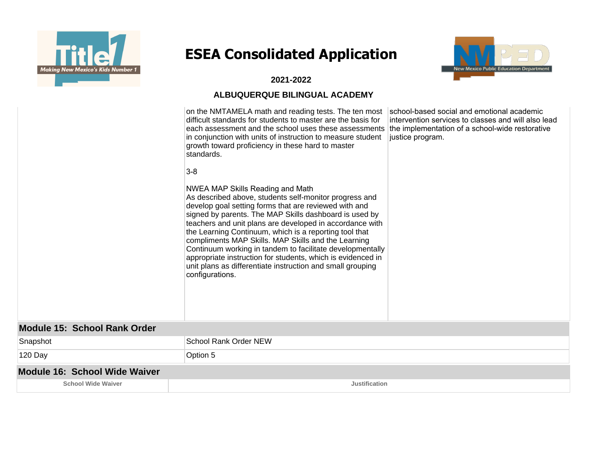

# **ESEA Consolidated Application**



### **2021-2022**

|                                      | on the NMTAMELA math and reading tests. The ten most<br>difficult standards for students to master are the basis for<br>each assessment and the school uses these assessments<br>in conjunction with units of instruction to measure student<br>growth toward proficiency in these hard to master<br>standards.<br>$3-8$<br>NWEA MAP Skills Reading and Math<br>As described above, students self-monitor progress and<br>develop goal setting forms that are reviewed with and<br>signed by parents. The MAP Skills dashboard is used by<br>teachers and unit plans are developed in accordance with<br>the Learning Continuum, which is a reporting tool that<br>compliments MAP Skills. MAP Skills and the Learning<br>Continuum working in tandem to facilitate developmentally<br>appropriate instruction for students, which is evidenced in<br>unit plans as differentiate instruction and small grouping<br>configurations. | school-based social and emotional academic<br>intervention services to classes and will also lead<br>the implementation of a school-wide restorative<br>justice program. |  |  |  |  |  |  |  |
|--------------------------------------|-------------------------------------------------------------------------------------------------------------------------------------------------------------------------------------------------------------------------------------------------------------------------------------------------------------------------------------------------------------------------------------------------------------------------------------------------------------------------------------------------------------------------------------------------------------------------------------------------------------------------------------------------------------------------------------------------------------------------------------------------------------------------------------------------------------------------------------------------------------------------------------------------------------------------------------|--------------------------------------------------------------------------------------------------------------------------------------------------------------------------|--|--|--|--|--|--|--|
| Module 15: School Rank Order         |                                                                                                                                                                                                                                                                                                                                                                                                                                                                                                                                                                                                                                                                                                                                                                                                                                                                                                                                     |                                                                                                                                                                          |  |  |  |  |  |  |  |
| Snapshot                             | <b>School Rank Order NEW</b>                                                                                                                                                                                                                                                                                                                                                                                                                                                                                                                                                                                                                                                                                                                                                                                                                                                                                                        |                                                                                                                                                                          |  |  |  |  |  |  |  |
| 120 Day                              |                                                                                                                                                                                                                                                                                                                                                                                                                                                                                                                                                                                                                                                                                                                                                                                                                                                                                                                                     |                                                                                                                                                                          |  |  |  |  |  |  |  |
| <b>Module 16: School Wide Waiver</b> |                                                                                                                                                                                                                                                                                                                                                                                                                                                                                                                                                                                                                                                                                                                                                                                                                                                                                                                                     |                                                                                                                                                                          |  |  |  |  |  |  |  |
| <b>School Wide Waiver</b>            | <b>Justification</b>                                                                                                                                                                                                                                                                                                                                                                                                                                                                                                                                                                                                                                                                                                                                                                                                                                                                                                                |                                                                                                                                                                          |  |  |  |  |  |  |  |